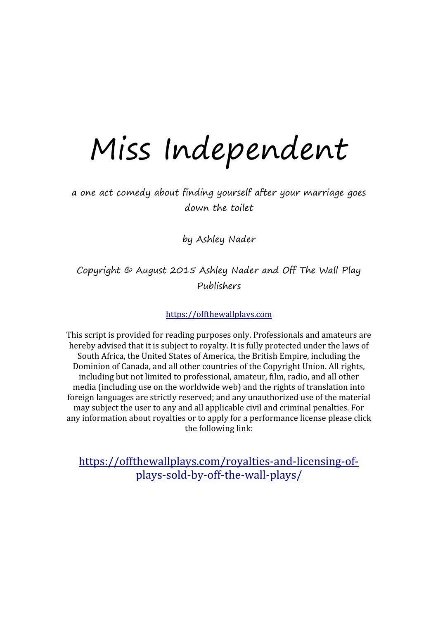## Miss Independent

a one act comedy about finding yourself after your marriage goes down the toilet

by Ashley Nader

Copyright © August 2015 Ashley Nader and Off The Wall Play Publishers

[https://offthewallplays.com](https://offthewallplays.com/)

This script is provided for reading purposes only. Professionals and amateurs are hereby advised that it is subject to royalty. It is fully protected under the laws of South Africa, the United States of America, the British Empire, including the Dominion of Canada, and all other countries of the Copyright Union. All rights, including but not limited to professional, amateur, film, radio, and all other media (including use on the worldwide web) and the rights of translation into foreign languages are strictly reserved; and any unauthorized use of the material may subject the user to any and all applicable civil and criminal penalties. For any information about royalties or to apply for a performance license please click the following link:

[https://offthewallplays.com/royalties-and-licensing-of](https://offthewallplays.com/royalties-and-licensing-of-plays-sold-by-off-the-wall-plays/)[plays-sold-by-off-the-wall-plays/](https://offthewallplays.com/royalties-and-licensing-of-plays-sold-by-off-the-wall-plays/)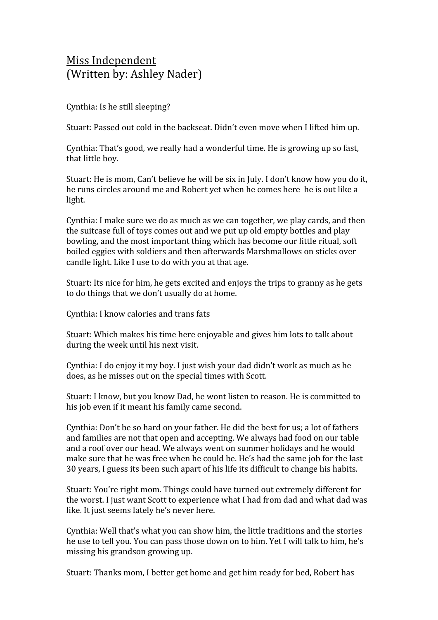## Miss Independent (Written by: Ashley Nader)

Cynthia: Is he still sleeping?

Stuart: Passed out cold in the backseat. Didn't even move when I lifted him up.

Cynthia: That's good, we really had a wonderful time. He is growing up so fast, that little boy.

Stuart: He is mom, Can't believe he will be six in July. I don't know how you do it, he runs circles around me and Robert yet when he comes here he is out like a light.

Cynthia: I make sure we do as much as we can together, we play cards, and then the suitcase full of toys comes out and we put up old empty bottles and play bowling, and the most important thing which has become our little ritual, soft boiled eggies with soldiers and then afterwards Marshmallows on sticks over candle light. Like I use to do with you at that age.

Stuart: Its nice for him, he gets excited and enjoys the trips to granny as he gets to do things that we don't usually do at home.

Cynthia: I know calories and trans fats

Stuart: Which makes his time here enjoyable and gives him lots to talk about during the week until his next visit.

Cynthia: I do enjoy it my boy. I just wish your dad didn't work as much as he does, as he misses out on the special times with Scott.

Stuart: I know, but you know Dad, he wont listen to reason. He is committed to his job even if it meant his family came second.

Cynthia: Don't be so hard on your father. He did the best for us; a lot of fathers and families are not that open and accepting. We always had food on our table and a roof over our head. We always went on summer holidays and he would make sure that he was free when he could be. He's had the same job for the last 30 years, I guess its been such apart of his life its difficult to change his habits.

Stuart: You're right mom. Things could have turned out extremely different for the worst. I just want Scott to experience what I had from dad and what dad was like. It just seems lately he's never here.

Cynthia: Well that's what you can show him, the little traditions and the stories he use to tell you. You can pass those down on to him. Yet I will talk to him, he's missing his grandson growing up.

Stuart: Thanks mom, I better get home and get him ready for bed, Robert has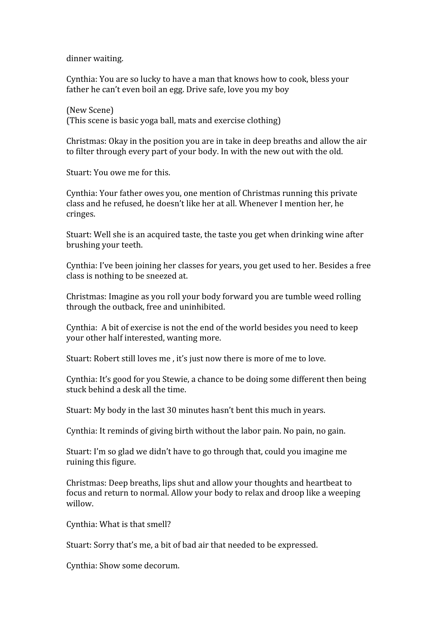dinner waiting.

Cynthia: You are so lucky to have a man that knows how to cook, bless your father he can't even boil an egg. Drive safe, love you my boy

(New Scene) (This scene is basic yoga ball, mats and exercise clothing)

Christmas: Okay in the position you are in take in deep breaths and allow the air to filter through every part of your body. In with the new out with the old.

Stuart: You owe me for this.

Cynthia: Your father owes you, one mention of Christmas running this private class and he refused, he doesn't like her at all. Whenever I mention her, he cringes.

Stuart: Well she is an acquired taste, the taste you get when drinking wine after brushing your teeth.

Cynthia: I've been joining her classes for years, you get used to her. Besides a free class is nothing to be sneezed at.

Christmas: Imagine as you roll your body forward you are tumble weed rolling through the outback, free and uninhibited.

Cynthia: A bit of exercise is not the end of the world besides you need to keep your other half interested, wanting more.

Stuart: Robert still loves me , it's just now there is more of me to love.

Cynthia: It's good for you Stewie, a chance to be doing some different then being stuck behind a desk all the time.

Stuart: My body in the last 30 minutes hasn't bent this much in years.

Cynthia: It reminds of giving birth without the labor pain. No pain, no gain.

Stuart: I'm so glad we didn't have to go through that, could you imagine me ruining this figure.

Christmas: Deep breaths, lips shut and allow your thoughts and heartbeat to focus and return to normal. Allow your body to relax and droop like a weeping willow.

Cynthia: What is that smell?

Stuart: Sorry that's me, a bit of bad air that needed to be expressed.

Cynthia: Show some decorum.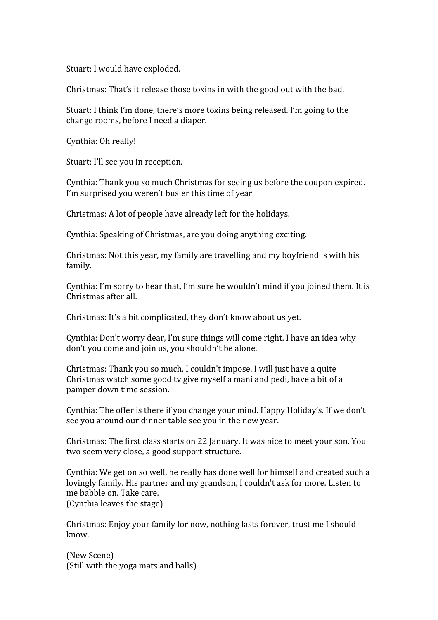Stuart: I would have exploded.

Christmas: That's it release those toxins in with the good out with the bad.

Stuart: I think I'm done, there's more toxins being released. I'm going to the change rooms, before I need a diaper.

Cynthia: Oh really!

Stuart: I'll see you in reception.

Cynthia: Thank you so much Christmas for seeing us before the coupon expired. I'm surprised you weren't busier this time of year.

Christmas: A lot of people have already left for the holidays.

Cynthia: Speaking of Christmas, are you doing anything exciting.

Christmas: Not this year, my family are travelling and my boyfriend is with his family.

Cynthia: I'm sorry to hear that, I'm sure he wouldn't mind if you joined them. It is Christmas after all.

Christmas: It's a bit complicated, they don't know about us yet.

Cynthia: Don't worry dear, I'm sure things will come right. I have an idea why don't you come and join us, you shouldn't be alone.

Christmas: Thank you so much, I couldn't impose. I will just have a quite Christmas watch some good tv give myself a mani and pedi, have a bit of a pamper down time session.

Cynthia: The offer is there if you change your mind. Happy Holiday's. If we don't see you around our dinner table see you in the new year.

Christmas: The first class starts on 22 January. It was nice to meet your son. You two seem very close, a good support structure.

Cynthia: We get on so well, he really has done well for himself and created such a lovingly family. His partner and my grandson, I couldn't ask for more. Listen to me babble on. Take care. (Cynthia leaves the stage)

Christmas: Enjoy your family for now, nothing lasts forever, trust me I should know.

(New Scene) (Still with the yoga mats and balls)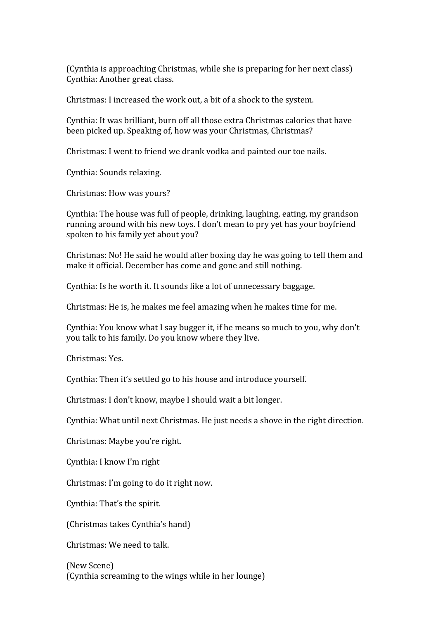(Cynthia is approaching Christmas, while she is preparing for her next class) Cynthia: Another great class.

Christmas: I increased the work out, a bit of a shock to the system.

Cynthia: It was brilliant, burn off all those extra Christmas calories that have been picked up. Speaking of, how was your Christmas, Christmas?

Christmas: I went to friend we drank vodka and painted our toe nails.

Cynthia: Sounds relaxing.

Christmas: How was yours?

Cynthia: The house was full of people, drinking, laughing, eating, my grandson running around with his new toys. I don't mean to pry yet has your boyfriend spoken to his family yet about you?

Christmas: No! He said he would after boxing day he was going to tell them and make it official. December has come and gone and still nothing.

Cynthia: Is he worth it. It sounds like a lot of unnecessary baggage.

Christmas: He is, he makes me feel amazing when he makes time for me.

Cynthia: You know what I say bugger it, if he means so much to you, why don't you talk to his family. Do you know where they live.

Christmas: Yes.

Cynthia: Then it's settled go to his house and introduce yourself.

Christmas: I don't know, maybe I should wait a bit longer.

Cynthia: What until next Christmas. He just needs a shove in the right direction.

Christmas: Maybe you're right.

Cynthia: I know I'm right

Christmas: I'm going to do it right now.

Cynthia: That's the spirit.

(Christmas takes Cynthia's hand)

Christmas: We need to talk.

(New Scene) (Cynthia screaming to the wings while in her lounge)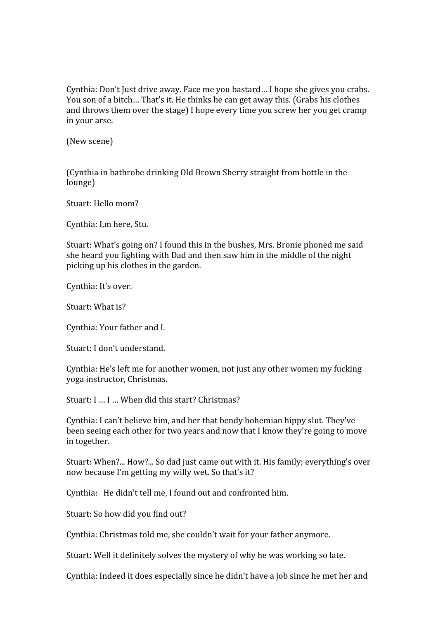Cynthia: Don't Just drive away. Face me you bastard… I hope she gives you crabs. You son of a bitch… That's it. He thinks he can get away this. (Grabs his clothes and throws them over the stage) I hope every time you screw her you get cramp in your arse.

(New scene)

(Cynthia in bathrobe drinking Old Brown Sherry straight from bottle in the lounge)

Stuart: Hello mom?

Cynthia: I,m here, Stu.

Stuart: What's going on? I found this in the bushes, Mrs. Bronie phoned me said she heard you fighting with Dad and then saw him in the middle of the night picking up his clothes in the garden.

Cynthia: It's over.

Stuart: What is?

Cynthia: Your father and I.

Stuart: I don't understand.

Cynthia: He's left me for another women, not just any other women my fucking yoga instructor, Christmas.

Stuart: I … I … When did this start? Christmas?

Cynthia: I can't believe him, and her that bendy bohemian hippy slut. They've been seeing each other for two years and now that I know they're going to move in together.

Stuart: When?... How?... So dad just came out with it. His family; everything's over now because I'm getting my willy wet. So that's it?

Cynthia: He didn't tell me, I found out and confronted him.

Stuart: So how did you find out?

Cynthia: Christmas told me, she couldn't wait for your father anymore.

Stuart: Well it definitely solves the mystery of why he was working so late.

Cynthia: Indeed it does especially since he didn't have a job since he met her and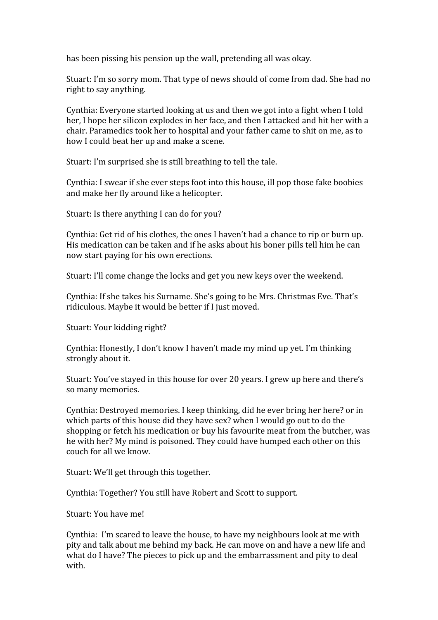has been pissing his pension up the wall, pretending all was okay.

Stuart: I'm so sorry mom. That type of news should of come from dad. She had no right to say anything.

Cynthia: Everyone started looking at us and then we got into a fight when I told her, I hope her silicon explodes in her face, and then I attacked and hit her with a chair. Paramedics took her to hospital and your father came to shit on me, as to how I could beat her up and make a scene.

Stuart: I'm surprised she is still breathing to tell the tale.

Cynthia: I swear if she ever steps foot into this house, ill pop those fake boobies and make her fly around like a helicopter.

Stuart: Is there anything I can do for you?

Cynthia: Get rid of his clothes, the ones I haven't had a chance to rip or burn up. His medication can be taken and if he asks about his boner pills tell him he can now start paying for his own erections.

Stuart: I'll come change the locks and get you new keys over the weekend.

Cynthia: If she takes his Surname. She's going to be Mrs. Christmas Eve. That's ridiculous. Maybe it would be better if I just moved.

Stuart: Your kidding right?

Cynthia: Honestly, I don't know I haven't made my mind up yet. I'm thinking strongly about it.

Stuart: You've stayed in this house for over 20 years. I grew up here and there's so many memories.

Cynthia: Destroyed memories. I keep thinking, did he ever bring her here? or in which parts of this house did they have sex? when I would go out to do the shopping or fetch his medication or buy his favourite meat from the butcher, was he with her? My mind is poisoned. They could have humped each other on this couch for all we know.

Stuart: We'll get through this together.

Cynthia: Together? You still have Robert and Scott to support.

Stuart: You have me!

Cynthia: I'm scared to leave the house, to have my neighbours look at me with pity and talk about me behind my back. He can move on and have a new life and what do I have? The pieces to pick up and the embarrassment and pity to deal with.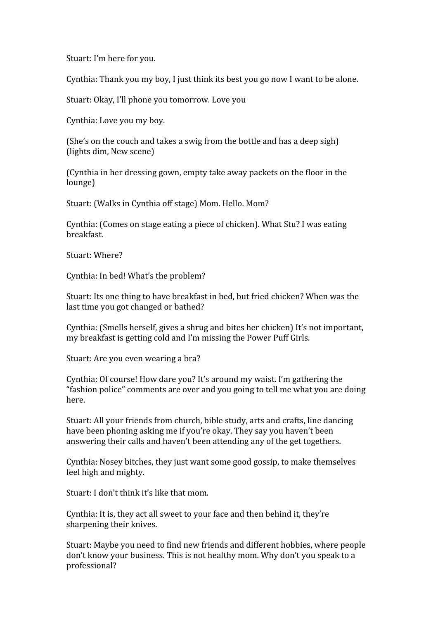Stuart: I'm here for you.

Cynthia: Thank you my boy, I just think its best you go now I want to be alone.

Stuart: Okay, I'll phone you tomorrow. Love you

Cynthia: Love you my boy.

(She's on the couch and takes a swig from the bottle and has a deep sigh) (lights dim, New scene)

(Cynthia in her dressing gown, empty take away packets on the floor in the lounge)

Stuart: (Walks in Cynthia off stage) Mom. Hello. Mom?

Cynthia: (Comes on stage eating a piece of chicken). What Stu? I was eating breakfast.

Stuart: Where?

Cynthia: In bed! What's the problem?

Stuart: Its one thing to have breakfast in bed, but fried chicken? When was the last time you got changed or bathed?

Cynthia: (Smells herself, gives a shrug and bites her chicken) It's not important, my breakfast is getting cold and I'm missing the Power Puff Girls.

Stuart: Are you even wearing a bra?

Cynthia: Of course! How dare you? It's around my waist. I'm gathering the "fashion police" comments are over and you going to tell me what you are doing here.

Stuart: All your friends from church, bible study, arts and crafts, line dancing have been phoning asking me if you're okay. They say you haven't been answering their calls and haven't been attending any of the get togethers.

Cynthia: Nosey bitches, they just want some good gossip, to make themselves feel high and mighty.

Stuart: I don't think it's like that mom.

Cynthia: It is, they act all sweet to your face and then behind it, they're sharpening their knives.

Stuart: Maybe you need to find new friends and different hobbies, where people don't know your business. This is not healthy mom. Why don't you speak to a professional?